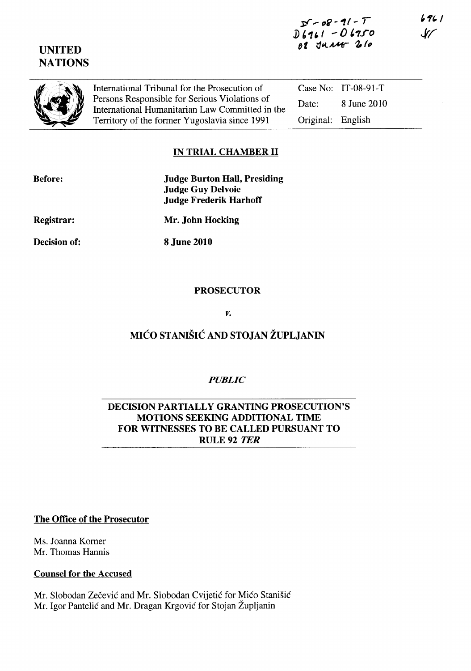## **UNITED NATIONS**



International Tribunal for the Prosecution of Persons Responsible for Serious Violations of International Humanitarian Law Committed in the Territory of the former Yugoslavia since 1991

Case No: IT-08-91-T Date: 8 June 2010 Original: English

### **IN TRIAL CHAMBER 11**

| <b>Before:</b> | <b>Judge Burton Hall, Presiding</b> |
|----------------|-------------------------------------|
|                | <b>Judge Guy Delvoie</b>            |
|                | <b>Judge Frederik Harhoff</b>       |
|                |                                     |

**Registrar:** 

**Mr. John Hocking** 

**Decision of:** 

**8 June 2010** 

### **PROSECUTOR**

*v.* 

# **MICO STANISIC AND STOJAN ZUPLJANIN**

### *PUBLIC*

#### **DECISION PARTIALLY GRANTING PROSECUTION'S MOTIONS SEEKING ADDITIONAL TIME FOR WITNESSES TO BE CALLED PURSUANT TO**  RULE 92 *TER*

#### **The Office of the Prosecutor**

Ms. Joanna Korner Mr. Thomas Hannis

### **Counsel for the Accused**

Mr. Slobodan Zečević and Mr. Slobodan Cvijetić for Mićo Stanišić Mr. Igor Pantelic and Mr. Dragan Krgovic for Stojan Zupljanin

6961  ${\mathcal{W}}$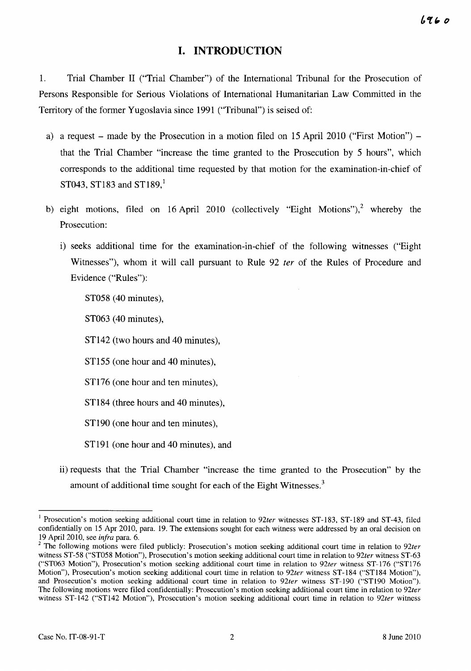### **I. INTRODUCTION**

1. Trial Chamber 11 ("Trial Chamber") of the International Tribunal for the Prosecution of Persons Responsible for Serious Violations of International Humanitarian Law Committed in the Territory of the former Yugoslavia since 1991 ("Tribunal") is seised of:

- a) a request made by the Prosecution in a motion filed on 15 April 2010 ("First Motion") that the Trial Chamber "increase the time granted to the Prosecution by 5 hours", which corresponds to the additional time requested by that motion for the examination-in-chief of  $ST043$ ,  $ST183$  and  $ST189$ <sup>1</sup>
- b) eight motions, filed on 16 April 2010 (collectively "Eight Motions"),<sup>2</sup> whereby the Prosecution:
	- i) seeks additional time for the examination-in-chief of the following witnesses ("Eight Witnesses"), whom it will call pursuant to Rule 92 *ter* of the Rules of Procedure and Evidence ("Rules"):

ST058 (40 minutes),

ST063 (40 minutes),

ST142 (two hours and 40 minutes),

ST155 (one hour and 40 minutes),

ST176 (one hour and ten minutes),

ST184 (three hours and 40 minutes),

ST<sub>190</sub> (one hour and ten minutes),

STl91 (one hour and 40 minutes), and

ii) requests that the Trial Chamber "increase the time granted to the Prosecution" by the amount of additional time sought for each of the Eight Witnesses. $3$ 

<sup>I</sup>Prosecution's motion seeking additional court time in relation to *92ter* witnesses ST-183, ST-189 and ST-43, filed confidentially on 15 Apr 2010, para. 19. The extensions sought for each witness were addressed by an oral decision on 19 April 2010, see *infra* para. 6.

<sup>&</sup>lt;sup>2</sup> The following motions were filed publicly: Prosecution's motion seeking additional court time in relation to 92ter witness ST-58 ("ST058 Motion"), Prosecution's motion seeking additional court time in relation to *92ter* witness ST-63 ("ST063 Motion"), Prosecution's motion seeking additional court time in relation to *92ter* witness ST-176 ("ST176 Motion"), Prosecution's motion seeking additional court time in relation to *92ter* witness ST-184 ("ST184 Motion"), and Prosecution's motion seeking additional court time in relation to *92ter* witness ST-190 ("ST190 Motion"). The following motions were filed confidentially: Prosecution's motion seeking additional court time in relation to *92ter*  witness ST-142 ("STI42 Motion"), Prosecution's motion seeking additional court time in relation to *92ter* witness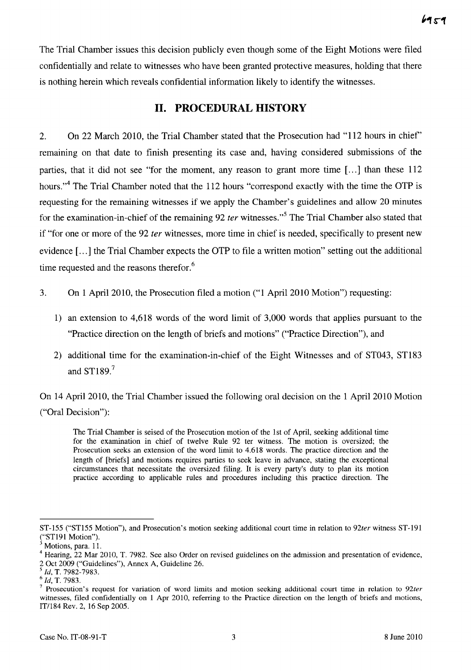The Trial Chamber issues this decision publicly even though some of the Eight Motions were filed confidentially and relate to witnesses who have been granted protective measures, holding that there is nothing herein which reveals confidential information likely to identify the witnesses.

### **11. PROCEDURAL HISTORY**

2. On 22 March 2010, the Trial Chamber stated that the Prosecution had "112 hours in chief' remaining on that date to finish presenting its case and, having considered submissions of the parties, that it did not see "for the moment, any reason to grant more time [...] than these 112 hours."<sup>4</sup> The Trial Chamber noted that the 112 hours "correspond exactly with the time the OTP is requesting for the remaining witnesses if we apply the Chamber's guidelines and allow 20 minutes for the examination-in-chief of the remaining 92 *ter* witnesses.<sup>5</sup> The Trial Chamber also stated that if "for one or more of the 92 *ter* witnesses, more time in chief is needed, specifically to present new evidence [...] the Trial Chamber expects the OTP to file a written motion" setting out the additional time requested and the reasons therefor. $6$ 

- 3. On 1 April 2010, the Prosecution filed a motion ("1 April 2010 Motion") requesting:
	- 1) an extension to 4,618 words of the word limit of 3,000 words that applies pursuant to the "Practice direction on the length of briefs and motions" ("Practice Direction"), and
	- 2) additional time for the examination-in-chief of the Eight Witnesses and of ST043, ST183 and  $ST189.<sup>7</sup>$

On 14 April 2010, the Trial Chamber issued the following oral decision on the 1 April 2010 Motion ("Oral Decision"):

The Trial Chamber is seised of the Prosecution motion of the 1st of April, seeking additional time for the examination in chief of twelve Rule 92 ter witness. The motion is oversized; the Prosecution seeks an extension of the word limit to 4.618 words. The practice direction and the length of [briefs] and motions requires parties to seek leave in advance, stating the exceptional circumstances that necessitate the oversized filing. It is every party's duty to plan its motion practice according to applicable rules and procedures including this practice direction. The

ST-155 ("STl55 Motion"), and Prosecution's motion seeking additional court time in relation to *92ter* witness ST-191 ("STl91 Motion").

Motions, para. 11.

<sup>&</sup>lt;sup>4</sup> Hearing, 22 Mar 2010, T. 7982. See also Order on revised guidelines on the admission and presentation of evidence, 2 Oct 2009 ("Guidelines"), Annex A, Guideline 26.

*<sup>5</sup> Id,* T. 7982-7983.

*<sup>6</sup> Id,* T. 7983.

<sup>7</sup>Prosecution's request for variation of word limits and motion seeking additional court time in relation to *92ter*  witnesses, filed confidentially on 1 Apr 2010, referring to the Practice direction on the length of briefs and motions, IT/184 Rev. 2, 16 Sep 2005.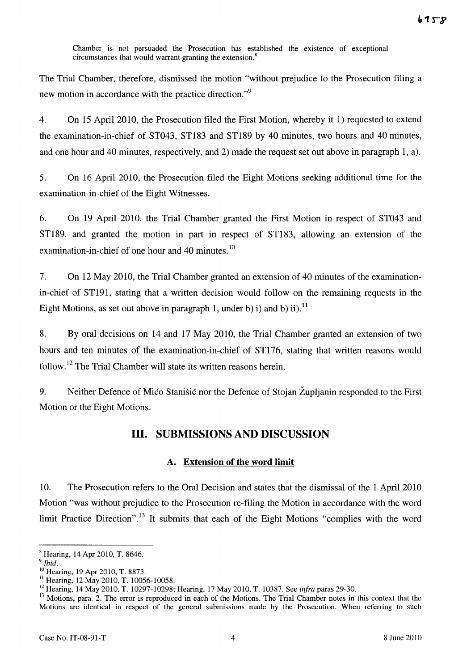Chamber is not persuaded the Prosecution has established the existence of exceptional circumstances that would warrant granting the extension.<sup>8</sup>

The Trial Chamber, therefore, dismissed the motion "without prejudice to the Prosecution filing a new motion in accordance with the practice direction."<sup>9</sup>

4. On 15 April 2010, the Prosecution filed the First Motion, whereby it 1) requested to extend the examination-in-chief of ST043, ST183 and ST189 by 40 minutes, two hours and 40 minutes, and one hour and 40 minutes, respectively, and 2) made the request set out above in paragraph 1, a).

5. On 16 April 2010, the Prosecution filed the Eight Motions seeking additional time for the examination-in-chief of the Eight Witnesses.

6. On 19 April 2010, the Trial Chamber granted the First Motion in respect of ST043 and ST189, and granted the motion in part in respect of ST183, allowing an extension of the examination-in-chief of one hour and 40 minutes.<sup>10</sup>

7. On 12 May 2010, the Trial Chamber granted an extension of 40 minutes of the examinationin-chief of ST191, stating that a written decision would follow on the remaining requests in the Eight Motions, as set out above in paragraph 1, under b) i) and b) ii).<sup>11</sup>

8. By oral decisions on 14 and 17 May 2010, the Trial Chamber granted an extension of two hours and ten minutes of the examination-in-chief of ST176, stating that written reasons would follow.<sup>12</sup> The Trial Chamber will state its written reasons herein.

9. Neither Defence of Mico Stanisic nor the Defence of Stojan Župljanin responded to the First Motion or the Eight Motions.

### **Ill. SUBMISSIONS AND DISCUSSION**

#### A. **Extension of the word limit**

10. The Prosecution refers to the Oral Decision and states that the dismissal of the 1 April 2010 Motion "was without prejudice to the Prosecution re-filing the Motion in accordance with the word limit Practice Direction".<sup>13</sup> It submits that each of the Eight Motions "complies with the word

 $^8$  Hearing, 14 Apr 2010, T. 8646.

*<sup>9</sup> Ibid.* 

<sup>10</sup> Hearing, 19 Apr 2010, T. 8873.

<sup>&</sup>lt;sup>11</sup> Hearing, 12 May 2010, T. 10056-10058.

<sup>12</sup>Hearing, 14 May 2010, T. 10297-10298; Hearing, 17 May 2010, T. 10387. See *infra* paras 29-30.

<sup>&</sup>lt;sup>13</sup> Motions, para. 2. The error is reproduced in each of the Motions. The Trial Chamber notes in this context that the Motions are identical in respect of the general submissions made by the Prosecution. When referring to such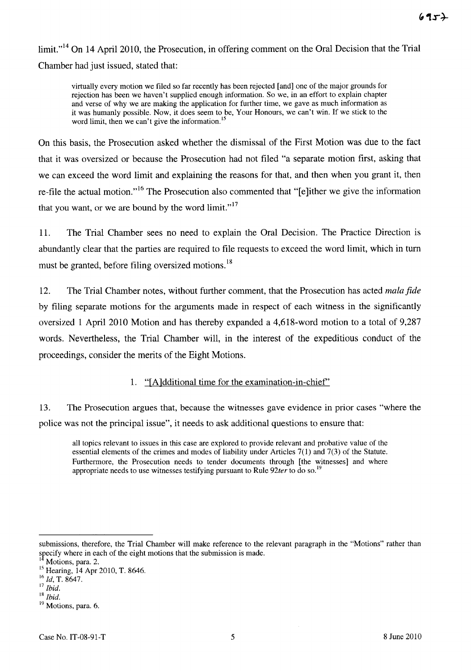$\lim_{h \to 14}$  On 14 April 2010, the Prosecution, in offering comment on the Oral Decision that the Trial Chamber had just issued, stated that:

virtually every motion we filed so far recently has been rejected [and] one of the major grounds for rejection has been we haven't supplied enough information. So we, in an effort to explain chapter and verse of why we are making the application for further time, we gave as much information as it was humanly possible. Now, it does seem to be, Your Honours, we can't win. If we stick to the word limit, then we can't give the information.<sup>15</sup>

On this basis, the Prosecution asked whether the dismissal of the First Motion was due to the fact that it was oversized or because the Prosecution had not filed "a separate motion first, asking that we can exceed the word limit and explaining the reasons for that, and then when you grant it, then re-file the actual motion."<sup>16</sup> The Prosecution also commented that "[e]ither we give the information that you want, or we are bound by the word limit." $17$ 

11. The Trial Chamber sees no need to explain the Oral Decision. The Practice Direction is abundantly clear that the parties are required to file requests to exceed the word limit, which in turn must be granted, before filing oversized motions.<sup>18</sup>

12. The Trial Chamber notes, without further comment, that the Prosecution has acted *mala fide*  by filing separate motions for the arguments made in respect of each witness in the significantly oversized 1 April 2010 Motion and has thereby expanded a 4,618-word motion to a total of 9,287 words. Nevertheless, the Trial Chamber will, in the interest of the expeditious conduct of the proceedings, consider the merits of the Eight Motions.

#### 1. "[Aldditional time for the examination-in-chief'

13. The Prosecution argues that, because the witnesses gave evidence in prior cases "where the police was not the principal issue", it needs to ask additional questions to ensure that:

all topics relevant to issues in this case are explored to provide relevant and probative value of the essential elements of the crimes and modes of liability under Articles 7(1) and 7(3) of the Statute. Furthermore, the Prosecution needs to tender documents through [the witnesses] and where appropriate needs to use witnesses testifying pursuant to Rule 92ter to do so.<sup>1</sup>

submissions, therefore, the Trial Chamber will make reference to the relevant paragraph in the "Motions" rather than specify where in each of the eight motions that the submission is made.

Motions, para. 2.

<sup>&</sup>lt;sup>15</sup> Hearing, 14 Apr 2010, T. 8646.

<sup>16</sup>*Id,* T. 8647.

<sup>17</sup>*Ibid.* 

<sup>18</sup>*Ibid.* 

<sup>&</sup>lt;sup>19</sup> Motions, para. 6.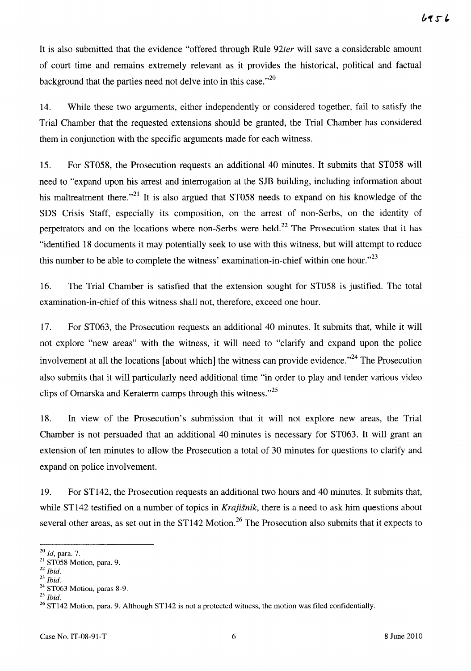It is also submitted that the evidence "offered through Rule *92ter* will save a considerable amount of court time and remains extremely relevant as it provides the historical, political and factual background that the parties need not delve into in this case." $^{20}$ 

14. While these two arguments, either independently or considered together, fail to satisfy the Trial Chamber that the requested extensions should be granted, the Trial Chamber has considered them in conjunction with the specific arguments made for each witness.

15. For ST058, the Prosecution requests an additional 40 minutes. It submits that ST058 will need to "expand upon his arrest and interrogation at the SJB building, including information about his maltreatment there.<sup> $21$ </sup> It is also argued that ST058 needs to expand on his knowledge of the SDS Crisis Staff, especially its composition, on the arrest of non-Serbs, on the identity of perpetrators and on the locations where non-Serbs were held.<sup>22</sup> The Prosecution states that it has "identified 18 documents it may potentially seek to use with this witness, but will attempt to reduce this number to be able to complete the witness' examination-in-chief within one hour." $^{23}$ 

16. The Trial Chamber is satisfied that the extension sought for ST058 is justified. The total examination-in-chief of this witness shall not, therefore, exceed one hour.

17. For ST063, the Prosecution requests an additional 40 minutes. It submits that, while it will not explore "new areas" with the witness, it will need to "clarify and expand upon the police involvement at all the locations [about which] the witness can provide evidence.<sup> $,24$ </sup> The Prosecution also submits that it will particularly need additional time "in order to play and tender various video clips of Omarska and Keraterm camps through this witness. $125$ 

18. In view of the Prosecution's submission that it will not explore new areas, the Trial Chamber is not persuaded that an additional 40 minutes is necessary for ST063. It will grant an extension of ten minutes to allow the Prosecution a total of 30 minutes for questions to clarify and expand on police involvement.

19. For ST142, the Prosecution requests an additional two hours and 40 minutes. It submits that, while ST142 testified on a number of topics in *Krajisnik,* there is a need to ask him questions about several other areas, as set out in the ST142 Motion.<sup>26</sup> The Prosecution also submits that it expects to

*<sup>20</sup> Id,* para. 7.

<sup>&</sup>lt;sup>21</sup> ST058 Motion, para. 9.

<sup>22</sup>*Ibid.* 

<sup>23</sup>*Ibid.* 

<sup>&</sup>lt;sup>24</sup> ST063 Motion, paras 8-9.

*<sup>25</sup> Ibid.* 

<sup>&</sup>lt;sup>26</sup> ST142 Motion, para. 9. Although ST142 is not a protected witness, the motion was filed confidentially.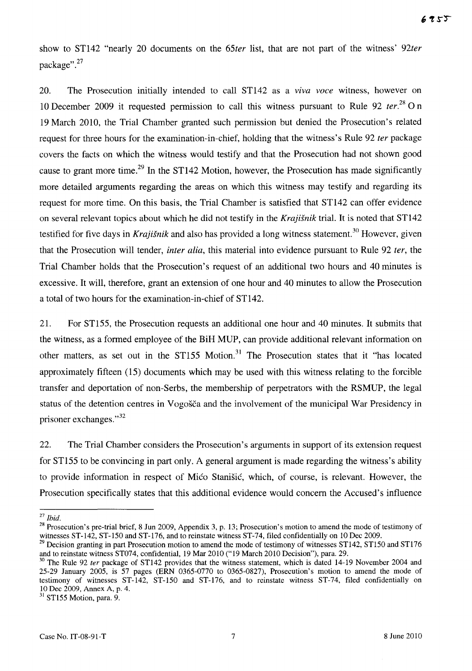show to ST142 "nearly 20 documents on the *65ter* list, that are not part of the witness' *92ter*  package". 27

20. The Prosecution initially intended to call ST142 as a *Vlva voce* witness, however on 10 December 2009 it requested permission to call this witness pursuant to Rule 92 *ter.*<sup>28</sup>0 n 19 March 2010, the Trial Chamber granted such permission but denied the Prosecution's related request for three hours for the examination-in-chief, holding that the witness's Rule 92 *ter* package covers the facts on which the witness would testify and that the Prosecution had not shown good cause to grant more time.<sup>29</sup> In the ST142 Motion, however, the Prosecution has made significantly more detailed arguments regarding the areas on which this witness may testify and regarding its request for more time. On this basis, the Trial Chamber is satisfied that ST142 can offer evidence on several relevant topics about which he did not testify in the *Krajisnik* trial. It is noted that ST142 testified for five days in *Krajišnik* and also has provided a long witness statement.<sup>30</sup> However, given that the Prosecution will tender, *inter alia,* this material into evidence pursuant to Rule 92 *ter,* the Trial Chamber holds that the Prosecution's request of an additional two hours and 40 minutes is excessive. It will, therefore, grant an extension of one hour and 40 minutes to allow the Prosecution a total of two hours for the examination-in-chief of ST142.

21. For ST155, the Prosecution requests an additional one hour and 40 minutes. It submits that the witness, as a formed employee of the BiH MUP, can provide additional relevant information on other matters, as set out in the ST155 Motion.<sup>31</sup> The Prosecution states that it "has located approximately fifteen (15) documents which may be used with this witness relating to the forcible transfer and deportation of non-Serbs, the membership of perpetrators with the RSMUP, the legal status of the detention centres in Vogošča and the involvement of the municipal War Presidency in prisoner exchanges."<sup>32</sup>

22. The Trial Chamber considers the Prosecution's arguments in support of its extension request for ST155 to be convincing in part only. A general argument is made regarding the witness's ability to provide information in respect of Mico Stanisic, which, of course, is relevant. However, the Prosecution specifically states that this additional evidence would concern the Accused's influence

<sup>31</sup> ST155 Motion, para. 9.

*<sup>27</sup> Ibid.* 

<sup>&</sup>lt;sup>28</sup> Prosecution's pre-trial brief, 8 Jun 2009, Appendix 3, p. 13; Prosecution's motion to amend the mode of testimony of witnesses ST-142, ST-150 and ST-176, and to reinstate witness ST-74, filed confidentially on 10 Dec 2009.

<sup>&</sup>lt;sup>29</sup> Decision granting in part Prosecution motion to amend the mode of testimony of witnesses  $ST142$ ,  $ST150$  and  $ST176$ and to reinstate witness ST074, confidential, 19 Mar 2010 ("19 March 2010 Decision"), para. 29.

<sup>&</sup>lt;sup>30</sup> The Rule 92 *ter* package of ST142 provides that the witness statement, which is dated 14-19 November 2004 and 25-29 January 2005, is 57 pages (ERN 0365-0770 to 0365-0827), Prosecution's motion to amend the mode of testimony of witnesses ST-142, ST-150 and ST-176, and to reinstate witness ST-74, filed confidentially on 10 Dec 2009, Annex A, p. 4.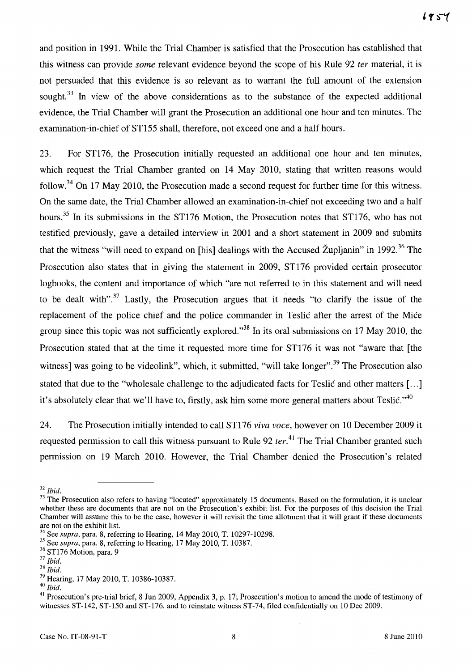and position in 1991. While the Trial Chamber is satisfied that the Prosecution has established that this witness can provide *some* relevant evidence beyond the scope of his Rule 92 *ter* material, it is not persuaded that this evidence is so relevant as to warrant the full amount of the extension sought.<sup>33</sup> In view of the above considerations as to the substance of the expected additional evidence, the Trial Chamber will grant the Prosecution an additional one hour and ten minutes. The examination-in-chief of ST155 shall, therefore, not exceed one and a half hours.

23. For ST176, the Prosecution initially requested an additional one hour and ten minutes, which request the Trial Chamber granted on 14 May 2010, stating that written reasons would follow.<sup>34</sup> On 17 May 2010, the Prosecution made a second request for further time for this witness. On the same date, the Trial Chamber allowed an examination-in-chief not exceeding two and a half hours.<sup>35</sup> In its submissions in the ST176 Motion, the Prosecution notes that ST176, who has not testified previously, gave a detailed interview in 2001 and a short statement in 2009 and submits that the witness "will need to expand on [his] dealings with the Accused  $\tilde{Z}$ upljanin" in 1992.<sup>36</sup> The Prosecution also states that in giving the statement in 2009, ST176 provided certain prosecutor logbooks, the content and importance of which "are not referred to in this statement and will need to be dealt with".<sup>37</sup> Lastly, the Prosecution argues that it needs "to clarify the issue of the replacement of the police chief and the police commander in Teslic after the arrest of the Mice group since this topic was not sufficiently explored."<sup>38</sup> In its oral submissions on 17 May 2010, the Prosecution stated that at the time it requested more time for ST176 it was not "aware that [the witness] was going to be videolink", which, it submitted, "will take longer".<sup>39</sup> The Prosecution also stated that due to the "wholesale challenge to the adjudicated facts for Teslic and other matters [...] it's absolutely clear that we'll have to, firstly, ask him some more general matters about Teslic."<sup>40</sup>

24. The Prosecution initially intended to call ST176 *viva voce,* however on 10 December 2009 it requested permission to call this witness pursuant to Rule 92 *ter*.<sup>41</sup> The Trial Chamber granted such permission on 19 March 2010. However, the Trial Chamber denied the Prosecution's related

*<sup>32</sup> Ibid.* 

<sup>&</sup>lt;sup>33</sup> The Prosecution also refers to having "located" approximately 15 documents. Based on the formulation, it is unclear whether these are documents that are not on the Prosecution's exhibit list. For the purposes of this decision the Trial Chamber will assume this to be the case, however it will revisit the time allotment that it will grant if these documents are not on the exhibit list.

<sup>34</sup> See *supra,* para. 8, referring to Hearing, 14 May 2010, T. 10297-10298.

<sup>35</sup> See *supra,* para. 8, referring to Hearing, 17 May 2010, T. 10387.

<sup>&</sup>lt;sup>36</sup> ST176 Motion, para. 9

*<sup>37</sup> Ibid.* 

*<sup>38</sup> Ibid.* 

<sup>39</sup> Hearing, 17 May 2010, T. 10386-10387.

*<sup>40</sup> Ibid.* 

<sup>&</sup>lt;sup>41</sup> Prosecution's pre-trial brief, 8 Jun 2009, Appendix 3, p. 17; Prosecution's motion to amend the mode of testimony of witnesses ST-142, ST-150 and ST-176, and to reinstate witness ST-74, filed confidentially on 10 Dec 2009.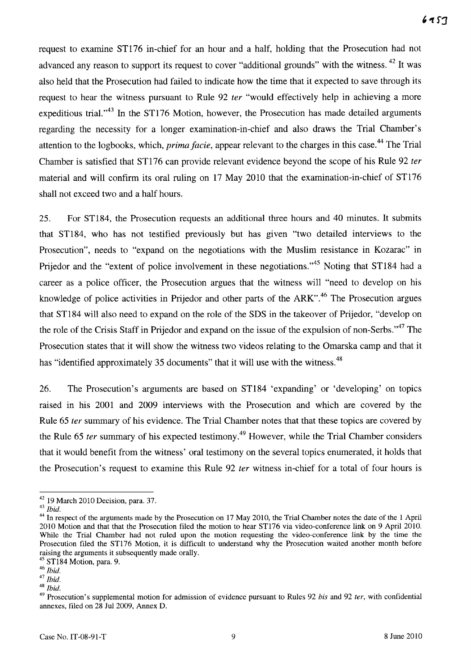request to examine ST176 in-chief for an hour and a half, holding that the Prosecution had not advanced any reason to support its request to cover "additional grounds" with the witness. <sup>42</sup> It was also held that the Prosecution had failed to indicate how the time that it expected to save through its request to hear the witness pursuant to Rule 92 *ter* "would effectively help in achieving a more expeditious trial. $1^{43}$  In the ST176 Motion, however, the Prosecution has made detailed arguments regarding the necessity for a longer examination-in-chief and also draws the Trial Chamber's attention to the logbooks, which, *prima jacie,* appear relevant to the charges in this case. 44 The Trial Chamber is satisfied that ST176 can provide relevant evidence beyond the scope of his Rule 92 *ter*  material and will confirm its oral ruling on 17 May 2010 that the examination-in-chief of ST176 shall not exceed two and a half hours.

25. For ST184, the Prosecution requests an additional three hours and 40 minutes. It submits that ST184, who has not testified previously but has given "two detailed interviews to the Prosecution", needs to "expand on the negotiations with the Muslim resistance in Kozarac" in Prijedor and the "extent of police involvement in these negotiations."<sup>45</sup> Noting that ST184 had a career as a police officer, the Prosecution argues that the witness will "need to develop on his knowledge of police activities in Prijedor and other parts of the ARK".<sup>46</sup> The Prosecution argues that ST184 will also need to expand on the role of the SDS in the takeover of Prijedor, "develop on the role of the Crisis Staff in Prijedor and expand on the issue of the expulsion of non-Serbs."<sup>47</sup> The Prosecution states that it will show the witness two videos relating to the Omarska camp and that it has "identified approximately 35 documents" that it will use with the witness.<sup>48</sup>

26. The Prosecution's arguments are based on ST184 'expanding' or 'developing' on topics raised in his 2001 and 2009 interviews with the Prosecution and which are covered by the Rule 65 *ter* summary of his evidence. The Trial Chamber notes that that these topics are covered by the Rule 65 *ter* summary of his expected testimony.<sup>49</sup> However, while the Trial Chamber considers that it would benefit from the witness' oral testimony on the several topics enumerated, it holds that the Prosecution's request to examine this Rule 92 *ter* witness in-chief for a total of four hours is

<sup>42 19</sup> March 2010 Decision, para. 37.

*<sup>43</sup> Ibid.* 

<sup>&</sup>lt;sup>44</sup> In respect of the arguments made by the Prosecution on 17 May 2010, the Trial Chamber notes the date of the 1 April 2010 Motion and that that the Prosecution filed the motion to hear ST176 via video-conference link on 9 April 2010. While the Trial Chamber had not ruled upon the motion requesting the video-conference link by the time the Prosecution filed the STl76 Motion, it is difficult to understand why the Prosecution waited another month before raising the arguments it subsequently made orally.

 $<sup>5</sup>$  ST184 Motion, para. 9.</sup>

*<sup>46</sup> Ibid.* 

*<sup>47</sup> Ibid.* 

*<sup>48</sup> Ibid.* 

<sup>49</sup> Prosecution's supplemental motion for admission of evidence pursuant to Rules 92 *bis* and 92 *fer,* with confidential annexes, filed on 28 Ju12009, Annex D.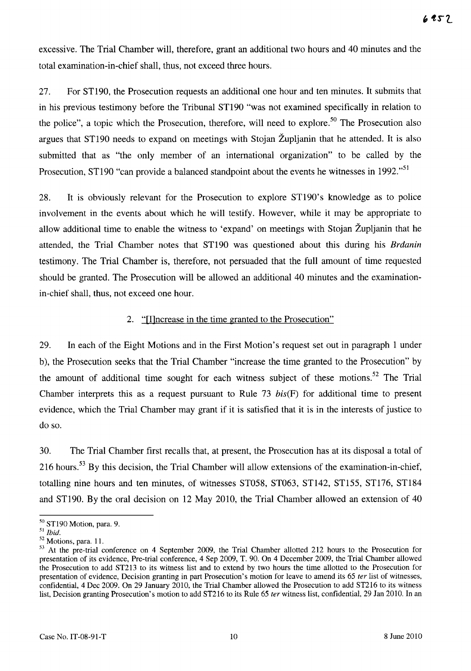excessive. The Trial Chamber will, therefore, grant an additional two hours and 40 minutes and the total examination-in-chief shall, thus, not exceed three hours.

27. For ST190, the Prosecution requests an additional one hour and ten minutes. It submits that in his previous testimony before the Tribunal ST190 "was not examined specifically in relation to the police", a topic which the Prosecution, therefore, will need to explore.<sup>50</sup> The Prosecution also argues that ST190 needs to expand on meetings with Stojan Zupljanin that he attended. It is also submitted that as "the only member of an international organization" to be called by the Prosecution, ST190 "can provide a balanced standpoint about the events he witnesses in 1992."<sup>51</sup>

28. It is obviously relevant for the Prosecution to explore ST190's knowledge as to police involvement in the events about which he will testify. However, while it may be appropriate to allow additional time to enable the witness to 'expand' on meetings with Stojan Zupljanin that he attended, the Trial Chamber notes that ST190 was questioned about this during his *Brdanin*  testimony. The Trial Chamber is, therefore, not persuaded that the full amount of time requested should be granted. The Prosecution will be allowed an additional 40 minutes and the examinationin-chief shall, thus, not exceed one hour.

#### 2. "[I]ncrease in the time granted to the Prosecution"

29. In each of the Eight Motions and in the First Motion's request set out in paragraph 1 under b), the Prosecution seeks that the Trial Chamber "increase the time granted to the Prosecution" by the amount of additional time sought for each witness subject of these motions.<sup>52</sup> The Trial Chamber interprets this as a request pursuant to Rule  $73 \; bis(F)$  for additional time to present evidence, which the Trial Chamber may grant if it is satisfied that it is in the interests of justice to do so.

30. The Trial Chamber first recalls that, at present, the Prosecution has at its disposal a total of 216 hours.<sup>53</sup> By this decision, the Trial Chamber will allow extensions of the examination-in-chief, totalling nine hours and ten minutes, of witnesses ST058, ST063, ST142, ST155, ST176, ST184 and ST190. By the oral decision on 12 May 2010, the Trial Chamber allowed an extension of 40

<sup>50</sup> ST190 Motion, para. 9.

<sup>51</sup>*Ibid.* 

 $52$  Motions, para. 11.

<sup>&</sup>lt;sup>53</sup> At the pre-trial conference on 4 September 2009, the Trial Chamber allotted 212 hours to the Prosecution for presentation of its evidence, Pre-trial conference, 4 Sep 2009, T. 90. On 4 December 2009, the Trial Chamber allowed the Prosecution to add ST213 to its witness list and to extend by two hours the time allotted to the Prosecution for presentation of evidence, Decision granting in part Prosecution's motion for leave to amend its 65 *ter* list of witnesses, confidential, 4 Dec 2009. On 29 January 2010, the Trial Chamber allowed the Prosecution to add ST216 to its witness list, Decision granting Prosecution's motion to add ST216 to its Rule 65 *ter* witness list, confidential, 29 Jan 2010. In an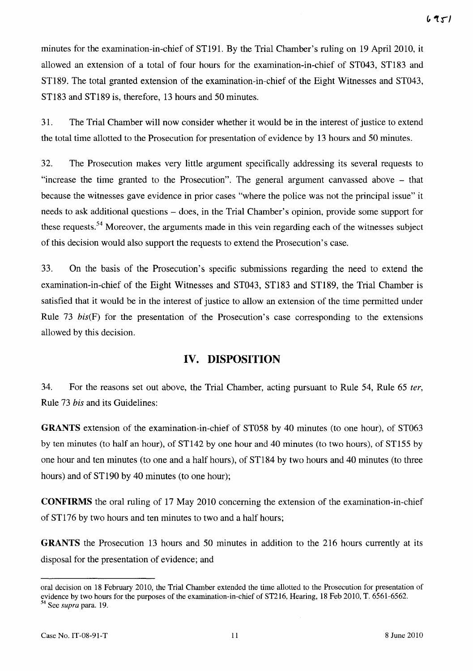minutes for the examination-in-chief of ST191. By the Trial Chamber's ruling on 19 April 2010, it allowed an extension of a total of four hours for the examination-in-chief of ST043, ST183 and ST189. The total granted extension of the examination-in-chief of the Eight Witnesses and ST043, ST183 and ST189 is, therefore, 13 hours and 50 minutes.

31. The Trial Chamber will now consider whether it would be in the interest of justice to extend the total time allotted to the Prosecution for presentation of evidence by 13 hours and 50 minutes.

32. The Prosecution makes very little argument specifically addressing its several requests to "increase the time granted to the Prosecution". The general argument canvassed above - that because the witnesses gave evidence in prior cases "where the police was not the principal issue" it needs to ask additional questions - does, in the Trial Chamber's opinion, provide some support for these requests.<sup>54</sup> Moreover, the arguments made in this vein regarding each of the witnesses subject of this decision would also support the requests to extend the Prosecution's case.

33. On the basis of the Prosecution's specific submissions regarding the need to extend the examination-in-chief of the Eight Witnesses and ST043, ST183 and ST189, the Trial Chamber is satisfied that it would be in the interest of justice to allow an extension of the time permitted under Rule 73 bis(F) for the presentation of the Prosecution's case corresponding to the extensions allowed by this decision.

### **IV. DISPOSITION**

34. For the reasons set out above, the Trial Chamber, acting pursuant to Rule 54, Rule 65 *ter,*  Rule 73 *bis* and its Guidelines:

**GRANTS** extension of the examination-in-chief of ST058 by 40 minutes (to one hour), of ST063 by ten minutes (to half an hour), of ST142 by one hour and 40 minutes (to two hours), of ST155 by one hour and ten minutes (to one and a half hours), of ST184 by two hours and 40 minutes (to three hours) and of ST190 by 40 minutes (to one hour);

**CONFIRMS** the oral ruling of 17 May 2010 concerning the extension of the examination-in-chief of ST176 by two hours and ten minutes to two and a half hours;

**GRANTS** the Prosecution 13 hours and 50 minutes in addition to the 216 hours currently at its disposal for the presentation of evidence; and

oral decision on 18 February 2010, the Trial Chamber extended the time allotted to the Prosecution for presentation of evidence by two hours for the purposes of the examination-in-chief of ST216, Hearing, 18 Feb 2010, T. 6561-6562. 54 See *supra* para. 19.